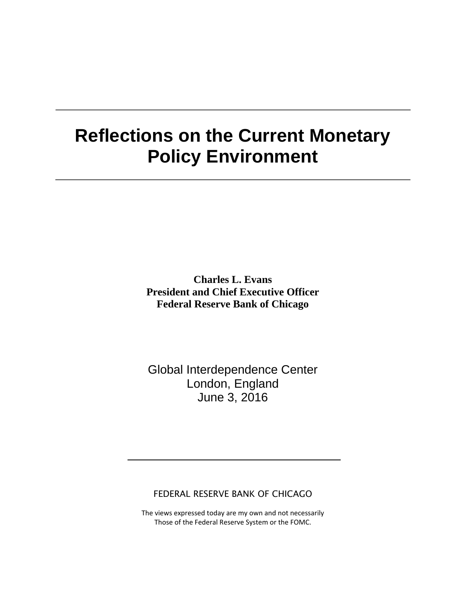# **Reflections on the Current Monetary Policy Environment**

**Charles L. Evans President and Chief Executive Officer Federal Reserve Bank of Chicago**

Global Interdependence Center London, England June 3, 2016

FEDERAL RESERVE BANK OF CHICAGO

The views expressed today are my own and not necessarily Those of the Federal Reserve System or the FOMC.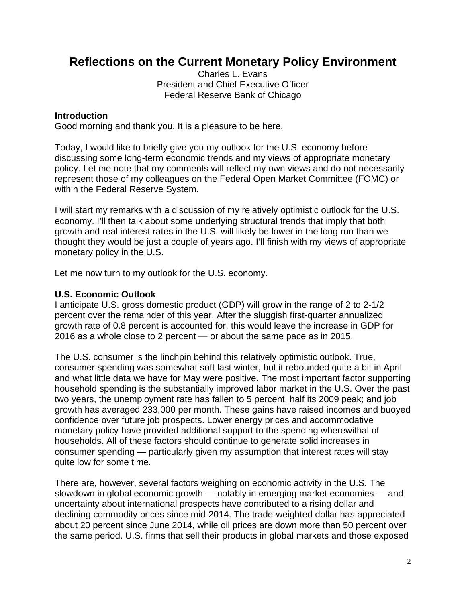# **Reflections on the Current Monetary Policy Environment**

Charles L. Evans President and Chief Executive Officer Federal Reserve Bank of Chicago

#### **Introduction**

Good morning and thank you. It is a pleasure to be here.

Today, I would like to briefly give you my outlook for the U.S. economy before discussing some long-term economic trends and my views of appropriate monetary policy. Let me note that my comments will reflect my own views and do not necessarily represent those of my colleagues on the Federal Open Market Committee (FOMC) or within the Federal Reserve System.

I will start my remarks with a discussion of my relatively optimistic outlook for the U.S. economy. I'll then talk about some underlying structural trends that imply that both growth and real interest rates in the U.S. will likely be lower in the long run than we thought they would be just a couple of years ago. I'll finish with my views of appropriate monetary policy in the U.S.

Let me now turn to my outlook for the U.S. economy.

### **U.S. Economic Outlook**

I anticipate U.S. gross domestic product (GDP) will grow in the range of 2 to 2-1/2 percent over the remainder of this year. After the sluggish first-quarter annualized growth rate of 0.8 percent is accounted for, this would leave the increase in GDP for 2016 as a whole close to 2 percent — or about the same pace as in 2015.

The U.S. consumer is the linchpin behind this relatively optimistic outlook. True, consumer spending was somewhat soft last winter, but it rebounded quite a bit in April and what little data we have for May were positive. The most important factor supporting household spending is the substantially improved labor market in the U.S. Over the past two years, the unemployment rate has fallen to 5 percent, half its 2009 peak; and job growth has averaged 233,000 per month. These gains have raised incomes and buoyed confidence over future job prospects. Lower energy prices and accommodative monetary policy have provided additional support to the spending wherewithal of households. All of these factors should continue to generate solid increases in consumer spending — particularly given my assumption that interest rates will stay quite low for some time.

There are, however, several factors weighing on economic activity in the U.S. The slowdown in global economic growth — notably in emerging market economies — and uncertainty about international prospects have contributed to a rising dollar and declining commodity prices since mid-2014. The trade-weighted dollar has appreciated about 20 percent since June 2014, while oil prices are down more than 50 percent over the same period. U.S. firms that sell their products in global markets and those exposed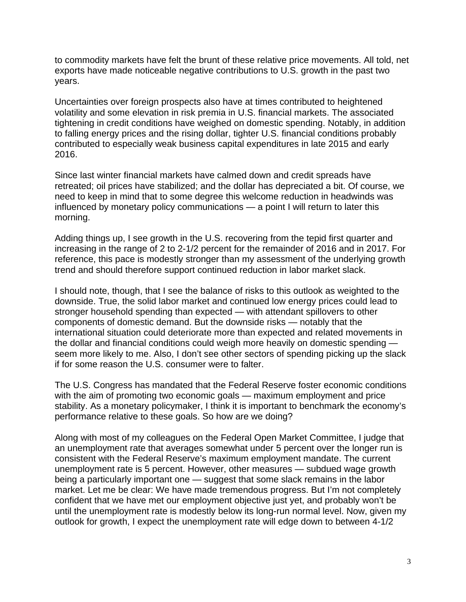to commodity markets have felt the brunt of these relative price movements. All told, net exports have made noticeable negative contributions to U.S. growth in the past two years.

Uncertainties over foreign prospects also have at times contributed to heightened volatility and some elevation in risk premia in U.S. financial markets. The associated tightening in credit conditions have weighed on domestic spending. Notably, in addition to falling energy prices and the rising dollar, tighter U.S. financial conditions probably contributed to especially weak business capital expenditures in late 2015 and early 2016.

Since last winter financial markets have calmed down and credit spreads have retreated; oil prices have stabilized; and the dollar has depreciated a bit. Of course, we need to keep in mind that to some degree this welcome reduction in headwinds was influenced by monetary policy communications — a point I will return to later this morning.

Adding things up, I see growth in the U.S. recovering from the tepid first quarter and increasing in the range of 2 to 2-1/2 percent for the remainder of 2016 and in 2017. For reference, this pace is modestly stronger than my assessment of the underlying growth trend and should therefore support continued reduction in labor market slack.

I should note, though, that I see the balance of risks to this outlook as weighted to the downside. True, the solid labor market and continued low energy prices could lead to stronger household spending than expected — with attendant spillovers to other components of domestic demand. But the downside risks — notably that the international situation could deteriorate more than expected and related movements in the dollar and financial conditions could weigh more heavily on domestic spending seem more likely to me. Also, I don't see other sectors of spending picking up the slack if for some reason the U.S. consumer were to falter.

The U.S. Congress has mandated that the Federal Reserve foster economic conditions with the aim of promoting two economic goals — maximum employment and price stability. As a monetary policymaker, I think it is important to benchmark the economy's performance relative to these goals. So how are we doing?

Along with most of my colleagues on the Federal Open Market Committee, I judge that an unemployment rate that averages somewhat under 5 percent over the longer run is consistent with the Federal Reserve's maximum employment mandate. The current unemployment rate is 5 percent. However, other measures — subdued wage growth being a particularly important one — suggest that some slack remains in the labor market. Let me be clear: We have made tremendous progress. But I'm not completely confident that we have met our employment objective just yet, and probably won't be until the unemployment rate is modestly below its long-run normal level. Now, given my outlook for growth, I expect the unemployment rate will edge down to between 4-1/2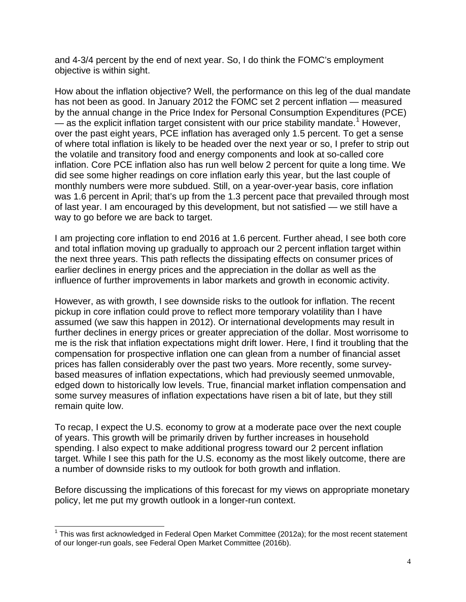and 4-3/4 percent by the end of next year. So, I do think the FOMC's employment objective is within sight.

How about the inflation objective? Well, the performance on this leg of the dual mandate has not been as good. In January 2012 the FOMC set 2 percent inflation — measured by the annual change in the Price Index for Personal Consumption Expenditures (PCE)  $-$  as the explicit inflation target consistent with our price stability mandate.<sup>[1](#page-3-0)</sup> However, over the past eight years, PCE inflation has averaged only 1.5 percent. To get a sense of where total inflation is likely to be headed over the next year or so, I prefer to strip out the volatile and transitory food and energy components and look at so-called core inflation. Core PCE inflation also has run well below 2 percent for quite a long time. We did see some higher readings on core inflation early this year, but the last couple of monthly numbers were more subdued. Still, on a year-over-year basis, core inflation was 1.6 percent in April; that's up from the 1.3 percent pace that prevailed through most of last year. I am encouraged by this development, but not satisfied — we still have a way to go before we are back to target.

I am projecting core inflation to end 2016 at 1.6 percent. Further ahead, I see both core and total inflation moving up gradually to approach our 2 percent inflation target within the next three years. This path reflects the dissipating effects on consumer prices of earlier declines in energy prices and the appreciation in the dollar as well as the influence of further improvements in labor markets and growth in economic activity.

However, as with growth, I see downside risks to the outlook for inflation. The recent pickup in core inflation could prove to reflect more temporary volatility than I have assumed (we saw this happen in 2012). Or international developments may result in further declines in energy prices or greater appreciation of the dollar. Most worrisome to me is the risk that inflation expectations might drift lower. Here, I find it troubling that the compensation for prospective inflation one can glean from a number of financial asset prices has fallen considerably over the past two years. More recently, some surveybased measures of inflation expectations, which had previously seemed unmovable, edged down to historically low levels. True, financial market inflation compensation and some survey measures of inflation expectations have risen a bit of late, but they still remain quite low.

To recap, I expect the U.S. economy to grow at a moderate pace over the next couple of years. This growth will be primarily driven by further increases in household spending. I also expect to make additional progress toward our 2 percent inflation target. While I see this path for the U.S. economy as the most likely outcome, there are a number of downside risks to my outlook for both growth and inflation.

Before discussing the implications of this forecast for my views on appropriate monetary policy, let me put my growth outlook in a longer-run context.

<span id="page-3-0"></span> $1$  This was first acknowledged in Federal Open Market Committee (2012a); for the most recent statement of our longer-run goals, see Federal Open Market Committee (2016b).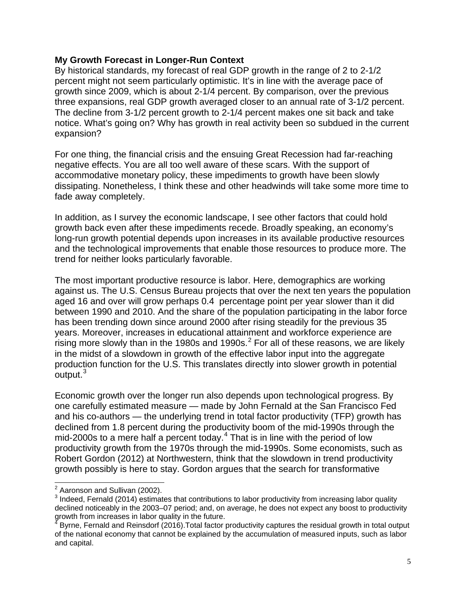#### **My Growth Forecast in Longer-Run Context**

By historical standards, my forecast of real GDP growth in the range of 2 to 2-1/2 percent might not seem particularly optimistic. It's in line with the average pace of growth since 2009, which is about 2-1/4 percent. By comparison, over the previous three expansions, real GDP growth averaged closer to an annual rate of 3-1/2 percent. The decline from 3-1/2 percent growth to 2-1/4 percent makes one sit back and take notice. What's going on? Why has growth in real activity been so subdued in the current expansion?

For one thing, the financial crisis and the ensuing Great Recession had far-reaching negative effects. You are all too well aware of these scars. With the support of accommodative monetary policy, these impediments to growth have been slowly dissipating. Nonetheless, I think these and other headwinds will take some more time to fade away completely.

In addition, as I survey the economic landscape, I see other factors that could hold growth back even after these impediments recede. Broadly speaking, an economy's long-run growth potential depends upon increases in its available productive resources and the technological improvements that enable those resources to produce more. The trend for neither looks particularly favorable.

The most important productive resource is labor. Here, demographics are working against us. The U.S. Census Bureau projects that over the next ten years the population aged 16 and over will grow perhaps 0.4 percentage point per year slower than it did between 1990 and 2010. And the share of the population participating in the labor force has been trending down since around 2000 after rising steadily for the previous 35 years. Moreover, increases in educational attainment and workforce experience are rising more slowly than in the 1980s and 1990s. $^2$  $^2$  For all of these reasons, we are likely in the midst of a slowdown in growth of the effective labor input into the aggregate production function for the U.S. This translates directly into slower growth in potential  ${\rm output.}^3$  ${\rm output.}^3$ 

Economic growth over the longer run also depends upon technological progress. By one carefully estimated measure — made by John Fernald at the San Francisco Fed and his co-authors — the underlying trend in total factor productivity (TFP) growth has declined from 1.8 percent during the productivity boom of the mid-1990s through the mid-2000s to a mere half a percent today.<sup>[4](#page-4-2)</sup> That is in line with the period of low productivity growth from the 1970s through the mid-1990s. Some economists, such as Robert Gordon (2012) at Northwestern, think that the slowdown in trend productivity growth possibly is here to stay. Gordon argues that the search for transformative

<span id="page-4-0"></span> $2$  Aaronson and Sullivan (2002).

<span id="page-4-1"></span><sup>&</sup>lt;sup>3</sup> Indeed, Fernald (2014) estimates that contributions to labor productivity from increasing labor quality declined noticeably in the 2003–07 period; and, on average, he does not expect any boost to productivity<br>growth from increases in labor quality in the future.<br><sup>4</sup> Byrne, Fernald and Britished (2013) T

<span id="page-4-2"></span>Byrne, Fernald and Reinsdorf (2016). Total factor productivity captures the residual growth in total output of the national economy that cannot be explained by the accumulation of measured inputs, such as labor and capital.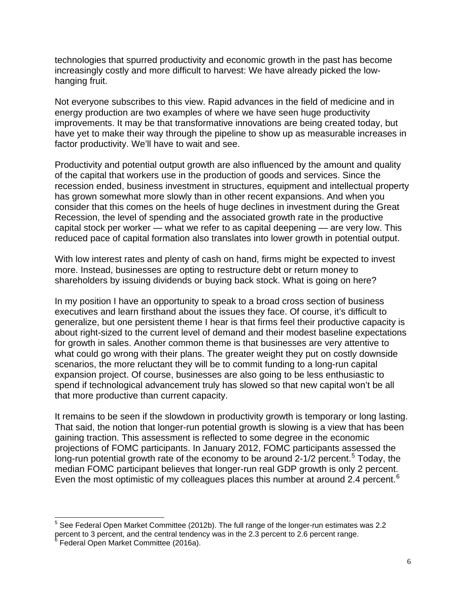technologies that spurred productivity and economic growth in the past has become increasingly costly and more difficult to harvest: We have already picked the lowhanging fruit.

Not everyone subscribes to this view. Rapid advances in the field of medicine and in energy production are two examples of where we have seen huge productivity improvements. It may be that transformative innovations are being created today, but have yet to make their way through the pipeline to show up as measurable increases in factor productivity. We'll have to wait and see.

Productivity and potential output growth are also influenced by the amount and quality of the capital that workers use in the production of goods and services. Since the recession ended, business investment in structures, equipment and intellectual property has grown somewhat more slowly than in other recent expansions. And when you consider that this comes on the heels of huge declines in investment during the Great Recession, the level of spending and the associated growth rate in the productive capital stock per worker — what we refer to as capital deepening — are very low. This reduced pace of capital formation also translates into lower growth in potential output.

With low interest rates and plenty of cash on hand, firms might be expected to invest more. Instead, businesses are opting to restructure debt or return money to shareholders by issuing dividends or buying back stock. What is going on here?

In my position I have an opportunity to speak to a broad cross section of business executives and learn firsthand about the issues they face. Of course, it's difficult to generalize, but one persistent theme I hear is that firms feel their productive capacity is about right-sized to the current level of demand and their modest baseline expectations for growth in sales. Another common theme is that businesses are very attentive to what could go wrong with their plans. The greater weight they put on costly downside scenarios, the more reluctant they will be to commit funding to a long-run capital expansion project. Of course, businesses are also going to be less enthusiastic to spend if technological advancement truly has slowed so that new capital won't be all that more productive than current capacity.

It remains to be seen if the slowdown in productivity growth is temporary or long lasting. That said, the notion that longer-run potential growth is slowing is a view that has been gaining traction. This assessment is reflected to some degree in the economic projections of FOMC participants. In January 2012, FOMC participants assessed the long-run potential growth rate of the economy to be around 2-1/2 percent.<sup>[5](#page-5-0)</sup> Today, the median FOMC participant believes that longer-run real GDP growth is only 2 percent. Even the most optimistic of my colleagues places this number at around 2.4 percent.<sup>[6](#page-5-1)</sup>

<span id="page-5-0"></span> $<sup>5</sup>$  See Federal Open Market Committee (2012b). The full range of the longer-run estimates was 2.2</sup> percent to 3 percent, and the central tendency was in the 2.3 percent to 2.6 percent range.

<span id="page-5-1"></span><sup>6</sup> Federal Open Market Committee (2016a).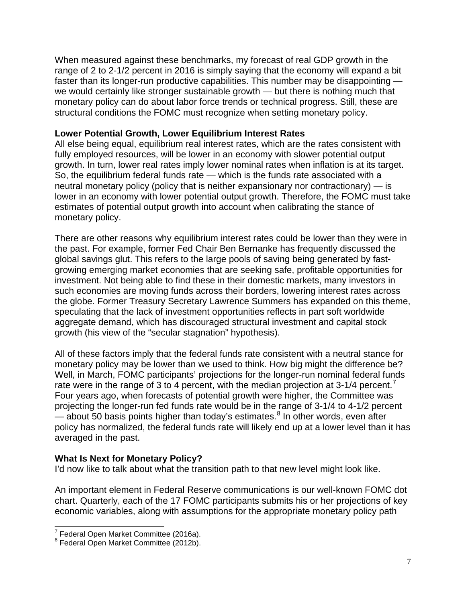When measured against these benchmarks, my forecast of real GDP growth in the range of 2 to 2-1/2 percent in 2016 is simply saying that the economy will expand a bit faster than its longer-run productive capabilities. This number may be disappointing we would certainly like stronger sustainable growth — but there is nothing much that monetary policy can do about labor force trends or technical progress. Still, these are structural conditions the FOMC must recognize when setting monetary policy.

#### **Lower Potential Growth, Lower Equilibrium Interest Rates**

All else being equal, equilibrium real interest rates, which are the rates consistent with fully employed resources, will be lower in an economy with slower potential output growth. In turn, lower real rates imply lower nominal rates when inflation is at its target. So, the equilibrium federal funds rate — which is the funds rate associated with a neutral monetary policy (policy that is neither expansionary nor contractionary) — is lower in an economy with lower potential output growth. Therefore, the FOMC must take estimates of potential output growth into account when calibrating the stance of monetary policy.

There are other reasons why equilibrium interest rates could be lower than they were in the past. For example, former Fed Chair Ben Bernanke has frequently discussed the global savings glut. This refers to the large pools of saving being generated by fastgrowing emerging market economies that are seeking safe, profitable opportunities for investment. Not being able to find these in their domestic markets, many investors in such economies are moving funds across their borders, lowering interest rates across the globe. Former Treasury Secretary Lawrence Summers has expanded on this theme, speculating that the lack of investment opportunities reflects in part soft worldwide aggregate demand, which has discouraged structural investment and capital stock growth (his view of the "secular stagnation" hypothesis).

All of these factors imply that the federal funds rate consistent with a neutral stance for monetary policy may be lower than we used to think. How big might the difference be? Well, in March, FOMC participants' projections for the longer-run nominal federal funds rate were in the range of 3 to 4 percent, with the median projection at  $3\n-1/4$  percent.<sup>[7](#page-6-0)</sup> Four years ago, when forecasts of potential growth were higher, the Committee was projecting the longer-run fed funds rate would be in the range of 3-1/4 to 4-1/2 percent  $-$  about 50 basis points higher than today's estimates.<sup>[8](#page-6-1)</sup> In other words, even after policy has normalized, the federal funds rate will likely end up at a lower level than it has averaged in the past.

## **What Is Next for Monetary Policy?**

I'd now like to talk about what the transition path to that new level might look like.

An important element in Federal Reserve communications is our well-known FOMC dot chart. Quarterly, each of the 17 FOMC participants submits his or her projections of key economic variables, along with assumptions for the appropriate monetary policy path

<span id="page-6-0"></span> $^7$  Federal Open Market Committee (2016a).<br> $^8$  Federal Open Market Committee (2012b).

<span id="page-6-1"></span>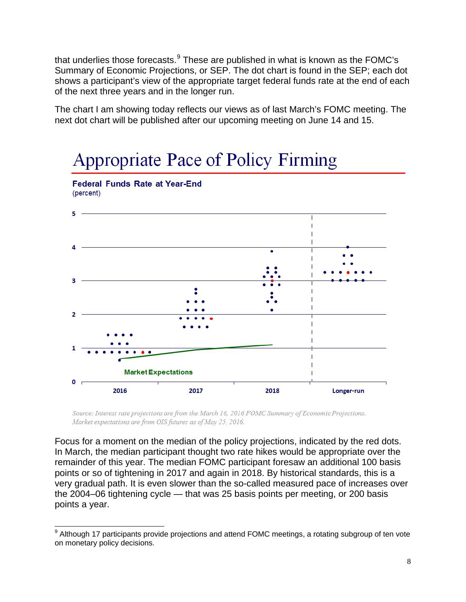that underlies those forecasts.<sup>[9](#page-7-0)</sup> These are published in what is known as the FOMC's Summary of Economic Projections, or SEP. The dot chart is found in the SEP; each dot shows a participant's view of the appropriate target federal funds rate at the end of each of the next three years and in the longer run.

The chart I am showing today reflects our views as of last March's FOMC meeting. The next dot chart will be published after our upcoming meeting on June 14 and 15.



Source: Interest rate projections are from the March 16, 2016 FOMC Summary of Economic Projections. Market expectations are from OIS futures as of May 25, 2016.

Focus for a moment on the median of the policy projections, indicated by the red dots. In March, the median participant thought two rate hikes would be appropriate over the remainder of this year. The median FOMC participant foresaw an additional 100 basis points or so of tightening in 2017 and again in 2018. By historical standards, this is a very gradual path. It is even slower than the so-called measured pace of increases over the 2004–06 tightening cycle — that was 25 basis points per meeting, or 200 basis points a year.

<span id="page-7-0"></span><sup>&</sup>lt;sup>9</sup> Although 17 participants provide projections and attend FOMC meetings, a rotating subgroup of ten vote on monetary policy decisions.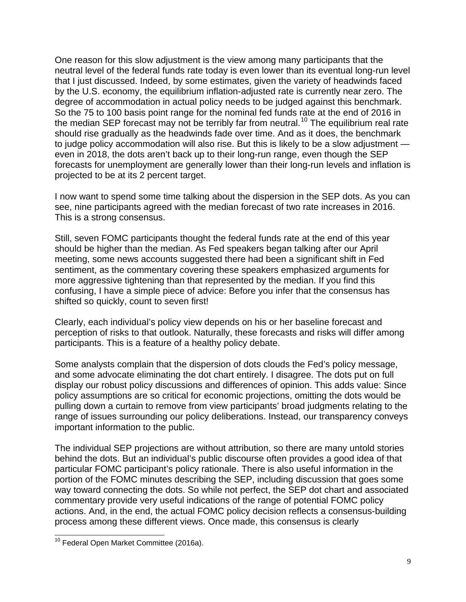One reason for this slow adjustment is the view among many participants that the neutral level of the federal funds rate today is even lower than its eventual long-run level that I just discussed. Indeed, by some estimates, given the variety of headwinds faced by the U.S. economy, the equilibrium inflation-adjusted rate is currently near zero. The degree of accommodation in actual policy needs to be judged against this benchmark. So the 75 to 100 basis point range for the nominal fed funds rate at the end of 2016 in the median SEP forecast may not be terribly far from neutral.<sup>[10](#page-8-0)</sup> The equilibrium real rate should rise gradually as the headwinds fade over time. And as it does, the benchmark to judge policy accommodation will also rise. But this is likely to be a slow adjustment even in 2018, the dots aren't back up to their long-run range, even though the SEP forecasts for unemployment are generally lower than their long-run levels and inflation is projected to be at its 2 percent target.

I now want to spend some time talking about the dispersion in the SEP dots. As you can see, nine participants agreed with the median forecast of two rate increases in 2016. This is a strong consensus.

Still, seven FOMC participants thought the federal funds rate at the end of this year should be higher than the median. As Fed speakers began talking after our April meeting, some news accounts suggested there had been a significant shift in Fed sentiment, as the commentary covering these speakers emphasized arguments for more aggressive tightening than that represented by the median. If you find this confusing, I have a simple piece of advice: Before you infer that the consensus has shifted so quickly, count to seven first!

Clearly, each individual's policy view depends on his or her baseline forecast and perception of risks to that outlook. Naturally, these forecasts and risks will differ among participants. This is a feature of a healthy policy debate.

Some analysts complain that the dispersion of dots clouds the Fed's policy message, and some advocate eliminating the dot chart entirely. I disagree. The dots put on full display our robust policy discussions and differences of opinion. This adds value: Since policy assumptions are so critical for economic projections, omitting the dots would be pulling down a curtain to remove from view participants' broad judgments relating to the range of issues surrounding our policy deliberations. Instead, our transparency conveys important information to the public.

The individual SEP projections are without attribution, so there are many untold stories behind the dots. But an individual's public discourse often provides a good idea of that particular FOMC participant's policy rationale. There is also useful information in the portion of the FOMC minutes describing the SEP, including discussion that goes some way toward connecting the dots. So while not perfect, the SEP dot chart and associated commentary provide very useful indications of the range of potential FOMC policy actions. And, in the end, the actual FOMC policy decision reflects a consensus-building process among these different views. Once made, this consensus is clearly

<span id="page-8-0"></span><sup>&</sup>lt;sup>10</sup> Federal Open Market Committee (2016a).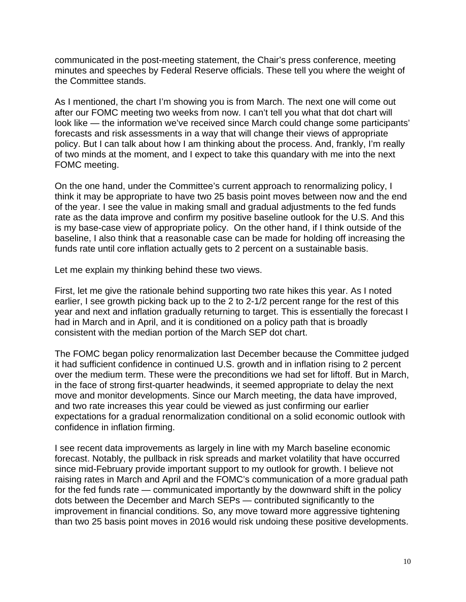communicated in the post-meeting statement, the Chair's press conference, meeting minutes and speeches by Federal Reserve officials. These tell you where the weight of the Committee stands.

As I mentioned, the chart I'm showing you is from March. The next one will come out after our FOMC meeting two weeks from now. I can't tell you what that dot chart will look like — the information we've received since March could change some participants' forecasts and risk assessments in a way that will change their views of appropriate policy. But I can talk about how I am thinking about the process. And, frankly, I'm really of two minds at the moment, and I expect to take this quandary with me into the next FOMC meeting.

On the one hand, under the Committee's current approach to renormalizing policy, I think it may be appropriate to have two 25 basis point moves between now and the end of the year. I see the value in making small and gradual adjustments to the fed funds rate as the data improve and confirm my positive baseline outlook for the U.S. And this is my base-case view of appropriate policy. On the other hand, if I think outside of the baseline, I also think that a reasonable case can be made for holding off increasing the funds rate until core inflation actually gets to 2 percent on a sustainable basis.

Let me explain my thinking behind these two views.

First, let me give the rationale behind supporting two rate hikes this year. As I noted earlier, I see growth picking back up to the 2 to 2-1/2 percent range for the rest of this year and next and inflation gradually returning to target. This is essentially the forecast I had in March and in April, and it is conditioned on a policy path that is broadly consistent with the median portion of the March SEP dot chart.

The FOMC began policy renormalization last December because the Committee judged it had sufficient confidence in continued U.S. growth and in inflation rising to 2 percent over the medium term. These were the preconditions we had set for liftoff. But in March, in the face of strong first-quarter headwinds, it seemed appropriate to delay the next move and monitor developments. Since our March meeting, the data have improved, and two rate increases this year could be viewed as just confirming our earlier expectations for a gradual renormalization conditional on a solid economic outlook with confidence in inflation firming.

I see recent data improvements as largely in line with my March baseline economic forecast. Notably, the pullback in risk spreads and market volatility that have occurred since mid-February provide important support to my outlook for growth. I believe not raising rates in March and April and the FOMC's communication of a more gradual path for the fed funds rate — communicated importantly by the downward shift in the policy dots between the December and March SEPs — contributed significantly to the improvement in financial conditions. So, any move toward more aggressive tightening than two 25 basis point moves in 2016 would risk undoing these positive developments.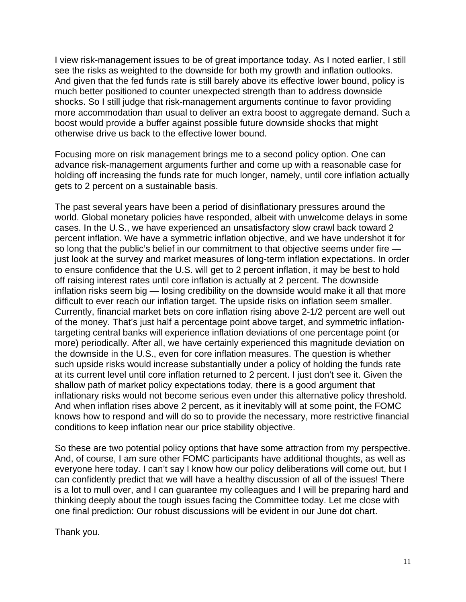I view risk-management issues to be of great importance today. As I noted earlier, I still see the risks as weighted to the downside for both my growth and inflation outlooks. And given that the fed funds rate is still barely above its effective lower bound, policy is much better positioned to counter unexpected strength than to address downside shocks. So I still judge that risk-management arguments continue to favor providing more accommodation than usual to deliver an extra boost to aggregate demand. Such a boost would provide a buffer against possible future downside shocks that might otherwise drive us back to the effective lower bound.

Focusing more on risk management brings me to a second policy option. One can advance risk-management arguments further and come up with a reasonable case for holding off increasing the funds rate for much longer, namely, until core inflation actually gets to 2 percent on a sustainable basis.

The past several years have been a period of disinflationary pressures around the world. Global monetary policies have responded, albeit with unwelcome delays in some cases. In the U.S., we have experienced an unsatisfactory slow crawl back toward 2 percent inflation. We have a symmetric inflation objective, and we have undershot it for so long that the public's belief in our commitment to that objective seems under fire just look at the survey and market measures of long-term inflation expectations. In order to ensure confidence that the U.S. will get to 2 percent inflation, it may be best to hold off raising interest rates until core inflation is actually at 2 percent. The downside inflation risks seem big — losing credibility on the downside would make it all that more difficult to ever reach our inflation target. The upside risks on inflation seem smaller. Currently, financial market bets on core inflation rising above 2-1/2 percent are well out of the money. That's just half a percentage point above target, and symmetric inflationtargeting central banks will experience inflation deviations of one percentage point (or more) periodically. After all, we have certainly experienced this magnitude deviation on the downside in the U.S., even for core inflation measures. The question is whether such upside risks would increase substantially under a policy of holding the funds rate at its current level until core inflation returned to 2 percent. I just don't see it. Given the shallow path of market policy expectations today, there is a good argument that inflationary risks would not become serious even under this alternative policy threshold. And when inflation rises above 2 percent, as it inevitably will at some point, the FOMC knows how to respond and will do so to provide the necessary, more restrictive financial conditions to keep inflation near our price stability objective.

So these are two potential policy options that have some attraction from my perspective. And, of course, I am sure other FOMC participants have additional thoughts, as well as everyone here today. I can't say I know how our policy deliberations will come out, but I can confidently predict that we will have a healthy discussion of all of the issues! There is a lot to mull over, and I can guarantee my colleagues and I will be preparing hard and thinking deeply about the tough issues facing the Committee today. Let me close with one final prediction: Our robust discussions will be evident in our June dot chart.

Thank you.